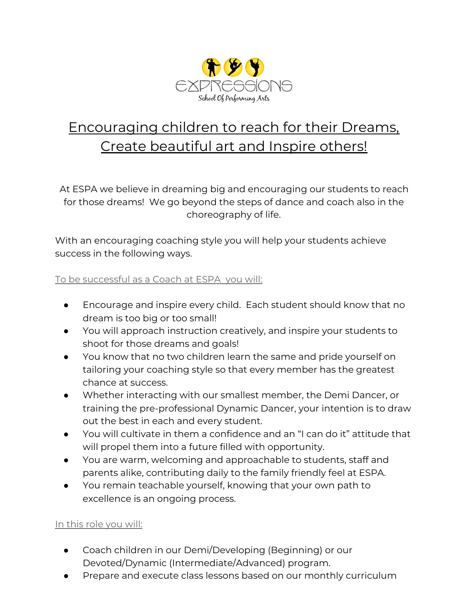

## Encouraging children to reach for their Dreams, Create beautiful art and Inspire others!

At ESPA we believe in dreaming big and encouraging our students to reach for those dreams! We go beyond the steps of dance and coach also in the choreography of life.

With an encouraging coaching style you will help your students achieve success in the following ways.

## To be successful as a Coach at ESPA you will:

- Encourage and inspire every child. Each student should know that no dream is too big or too small!
- You will approach instruction creatively, and inspire your students to shoot for those dreams and goals!
- You know that no two children learn the same and pride yourself on tailoring your coaching style so that every member has the greatest chance at success.
- Whether interacting with our smallest member, the Demi Dancer, or training the pre-professional Dynamic Dancer, your intention is to draw out the best in each and every student.
- You will cultivate in them a confidence and an "I can do it" attitude that will propel them into a future filled with opportunity.
- You are warm, welcoming and approachable to students, staff and parents alike, contributing daily to the family friendly feel at ESPA.
- You remain teachable yourself, knowing that your own path to excellence is an ongoing process.

## In this role you will:

- Coach children in our Demi/Developing (Beginning) or our Devoted/Dynamic (Intermediate/Advanced) program.
- Prepare and execute class lessons based on our monthly curriculum